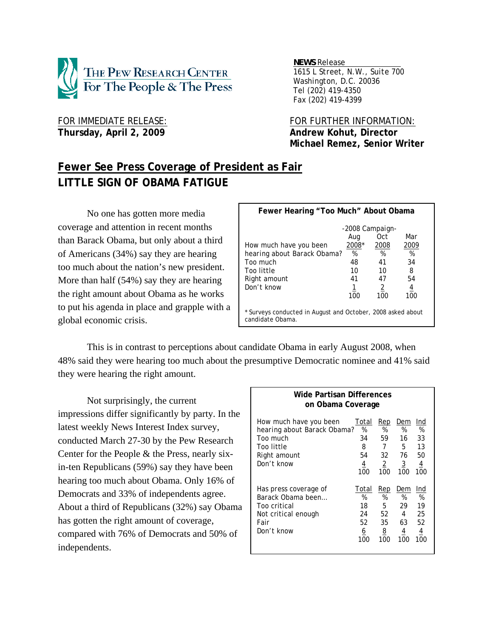

*NEWS Release .*

 *1615 L Street, N.W., Suite 700 Washington, D.C. 20036 Tel (202) 419-4350 Fax (202) 419-4399*

Thursday, April 2, 2009 **Andrew Kohut, Director** 

FOR IMMEDIATE RELEASE: FOR FURTHER INFORMATION:  **Michael Remez, Senior Writer** 

# **Fewer See Press Coverage of President as Fair LITTLE SIGN OF OBAMA FATIGUE**

No one has gotten more media coverage and attention in recent months than Barack Obama, but only about a third of Americans (34%) say they are hearing too much about the nation's new president. More than half (54%) say they are hearing the right amount about Obama as he works to put his agenda in place and grapple with a global economic crisis.

| Fewer Hearing "Too Much" About Obama                                            |       |                        |      |  |
|---------------------------------------------------------------------------------|-------|------------------------|------|--|
|                                                                                 | Aug   | -2008 Campaign-<br>Oct | Mar  |  |
| How much have you been                                                          | 2008* | 2008                   | 2009 |  |
| hearing about Barack Obama?                                                     | %     | %                      | %    |  |
| Too much                                                                        | 48    | 41                     | 34   |  |
| Too little                                                                      | 10    | 10                     | 8    |  |
| Right amount                                                                    | 41    | 47                     | 54   |  |
| Don't know                                                                      | 1     | 2                      | 4    |  |
|                                                                                 | 100   | 100                    | 100  |  |
| * Surveys conducted in August and October, 2008 asked about<br>candidate Obama. |       |                        |      |  |

 This is in contrast to perceptions about candidate Obama in early August 2008, when 48% said they were hearing too much about the presumptive Democratic nominee and 41% said they were hearing the right amount.

 Not surprisingly, the current impressions differ significantly by party. In the latest weekly News Interest Index survey, conducted March 27-30 by the Pew Research Center for the People & the Press, nearly sixin-ten Republicans (59%) say they have been hearing too much about Obama. Only 16% of Democrats and 33% of independents agree. About a third of Republicans (32%) say Obama has gotten the right amount of coverage, compared with 76% of Democrats and 50% of independents.

| Wide Partisan Differences<br>on Obama Coverage                                                                |                                                      |                                                    |                                                                 |                                                     |  |
|---------------------------------------------------------------------------------------------------------------|------------------------------------------------------|----------------------------------------------------|-----------------------------------------------------------------|-----------------------------------------------------|--|
| How much have you been<br>hearing about Barack Obama?<br>Too much<br>Too little<br>Right amount<br>Don't know | Total<br>%<br>34<br>8<br>54<br>$\overline{4}$<br>100 | Rep<br>%<br>59<br>7<br>32<br>$\overline{2}$<br>100 | Dem<br>%<br>16<br>5<br>76<br>$\overline{3}$<br>100              | Ind<br>%<br>33<br>13<br>50<br>$\overline{4}$<br>100 |  |
| Has press coverage of<br>Barack Obama been<br>Too critical<br>Not critical enough<br>Fair<br>Don't know       | Total<br>%<br>18<br>24<br>52<br>6<br>100             | Rep<br>%<br>5<br>52<br>35<br><u>8</u><br>100       | Dem<br>%<br>29<br>$\overline{4}$<br>63<br>$\overline{4}$<br>100 | Ind<br>%<br>19<br>25<br>52<br><u>4</u><br>100       |  |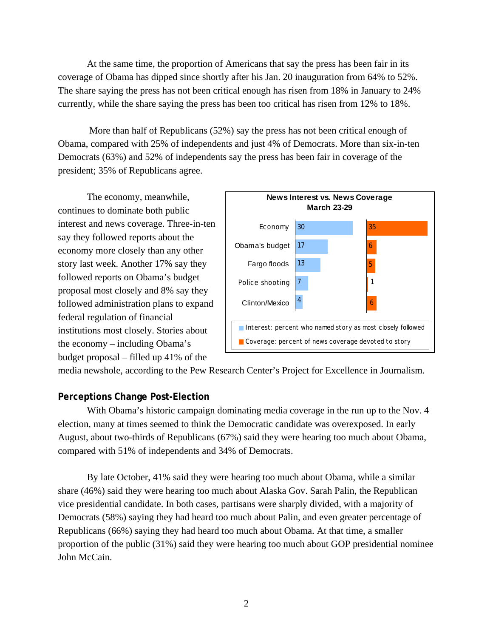At the same time, the proportion of Americans that say the press has been fair in its coverage of Obama has dipped since shortly after his Jan. 20 inauguration from 64% to 52%. The share saying the press has not been critical enough has risen from 18% in January to 24% currently, while the share saying the press has been too critical has risen from 12% to 18%.

 More than half of Republicans (52%) say the press has not been critical enough of Obama, compared with 25% of independents and just 4% of Democrats. More than six-in-ten Democrats (63%) and 52% of independents say the press has been fair in coverage of the president; 35% of Republicans agree.

 The economy, meanwhile, continues to dominate both public interest and news coverage. Three-in-ten say they followed reports about the economy more closely than any other story last week. Another 17% say they followed reports on Obama's budget proposal most closely and 8% say they followed administration plans to expand federal regulation of financial institutions most closely. Stories about the economy – including Obama's budget proposal – filled up 41% of the



media newshole, according to the Pew Research Center's Project for Excellence in Journalism.

## **Perceptions Change Post-Election**

With Obama's historic campaign dominating media coverage in the run up to the Nov. 4 election, many at times seemed to think the Democratic candidate was overexposed. In early August, about two-thirds of Republicans (67%) said they were hearing too much about Obama, compared with 51% of independents and 34% of Democrats.

 By late October, 41% said they were hearing too much about Obama, while a similar share (46%) said they were hearing too much about Alaska Gov. Sarah Palin, the Republican vice presidential candidate. In both cases, partisans were sharply divided, with a majority of Democrats (58%) saying they had heard too much about Palin, and even greater percentage of Republicans (66%) saying they had heard too much about Obama. At that time, a smaller proportion of the public (31%) said they were hearing too much about GOP presidential nominee John McCain.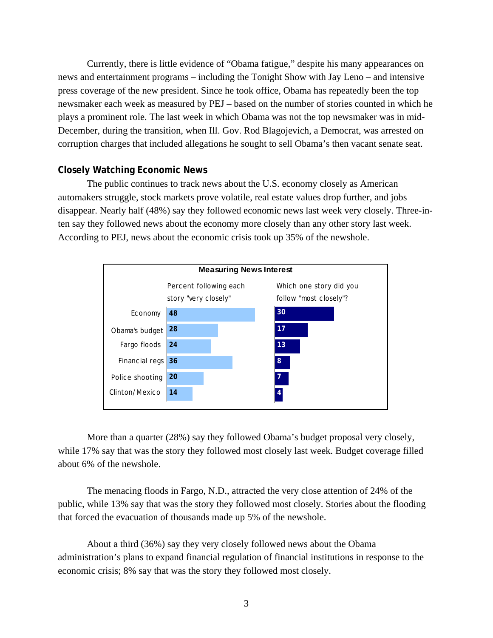Currently, there is little evidence of "Obama fatigue," despite his many appearances on news and entertainment programs – including the Tonight Show with Jay Leno – and intensive press coverage of the new president. Since he took office, Obama has repeatedly been the top newsmaker each week as measured by PEJ – based on the number of stories counted in which he plays a prominent role. The last week in which Obama was not the top newsmaker was in mid-December, during the transition, when Ill. Gov. Rod Blagojevich, a Democrat, was arrested on corruption charges that included allegations he sought to sell Obama's then vacant senate seat.

## **Closely Watching Economic News**

The public continues to track news about the U.S. economy closely as American automakers struggle, stock markets prove volatile, real estate values drop further, and jobs disappear. Nearly half (48%) say they followed economic news last week very closely. Three-inten say they followed news about the economy more closely than any other story last week. According to PEJ, news about the economic crisis took up 35% of the newshole.



More than a quarter (28%) say they followed Obama's budget proposal very closely, while 17% say that was the story they followed most closely last week. Budget coverage filled about 6% of the newshole.

 The menacing floods in Fargo, N.D., attracted the very close attention of 24% of the public, while 13% say that was the story they followed most closely. Stories about the flooding that forced the evacuation of thousands made up 5% of the newshole.

 About a third (36%) say they very closely followed news about the Obama administration's plans to expand financial regulation of financial institutions in response to the economic crisis; 8% say that was the story they followed most closely.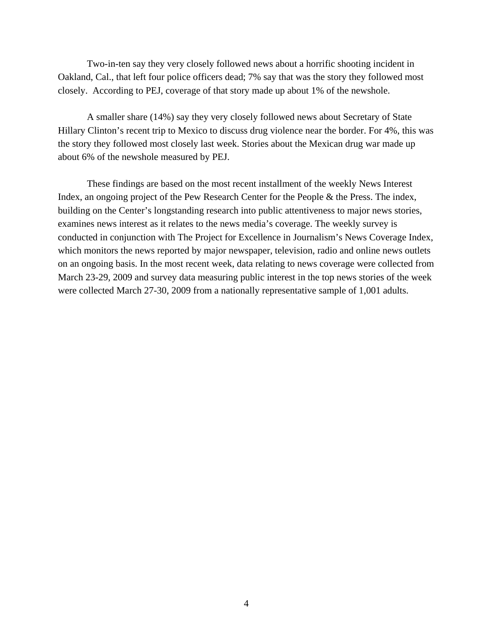Two-in-ten say they very closely followed news about a horrific shooting incident in Oakland, Cal., that left four police officers dead; 7% say that was the story they followed most closely. According to PEJ, coverage of that story made up about 1% of the newshole.

A smaller share (14%) say they very closely followed news about Secretary of State Hillary Clinton's recent trip to Mexico to discuss drug violence near the border. For 4%, this was the story they followed most closely last week. Stories about the Mexican drug war made up about 6% of the newshole measured by PEJ.

These findings are based on the most recent installment of the weekly News Interest Index, an ongoing project of the Pew Research Center for the People & the Press. The index, building on the Center's longstanding research into public attentiveness to major news stories, examines news interest as it relates to the news media's coverage. The weekly survey is conducted in conjunction with The Project for Excellence in Journalism's News Coverage Index, which monitors the news reported by major newspaper, television, radio and online news outlets on an ongoing basis. In the most recent week, data relating to news coverage were collected from March 23-29, 2009 and survey data measuring public interest in the top news stories of the week were collected March 27-30, 2009 from a nationally representative sample of 1,001 adults.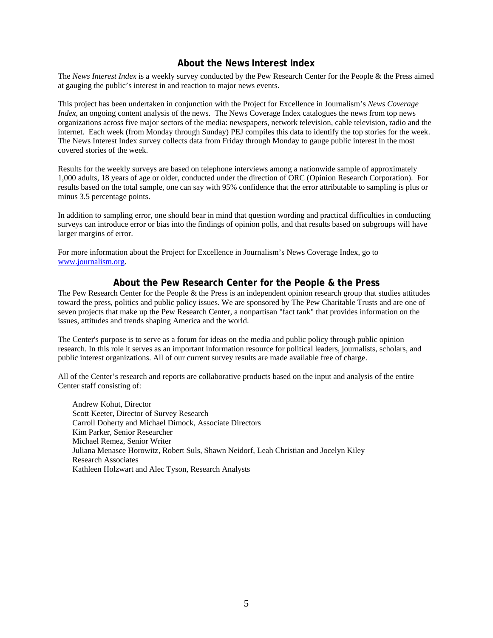## **About the News Interest Index**

The *News Interest Index* is a weekly survey conducted by the Pew Research Center for the People & the Press aimed at gauging the public's interest in and reaction to major news events.

This project has been undertaken in conjunction with the Project for Excellence in Journalism's *News Coverage Index*, an ongoing content analysis of the news. The News Coverage Index catalogues the news from top news organizations across five major sectors of the media: newspapers, network television, cable television, radio and the internet. Each week (from Monday through Sunday) PEJ compiles this data to identify the top stories for the week. The News Interest Index survey collects data from Friday through Monday to gauge public interest in the most covered stories of the week.

Results for the weekly surveys are based on telephone interviews among a nationwide sample of approximately 1,000 adults, 18 years of age or older, conducted under the direction of ORC (Opinion Research Corporation). For results based on the total sample, one can say with 95% confidence that the error attributable to sampling is plus or minus 3.5 percentage points.

In addition to sampling error, one should bear in mind that question wording and practical difficulties in conducting surveys can introduce error or bias into the findings of opinion polls, and that results based on subgroups will have larger margins of error.

For more information about the Project for Excellence in Journalism's News Coverage Index, go to www.journalism.org.

## **About the Pew Research Center for the People & the Press**

The Pew Research Center for the People & the Press is an independent opinion research group that studies attitudes toward the press, politics and public policy issues. We are sponsored by The Pew Charitable Trusts and are one of seven projects that make up the Pew Research Center, a nonpartisan "fact tank" that provides information on the issues, attitudes and trends shaping America and the world.

The Center's purpose is to serve as a forum for ideas on the media and public policy through public opinion research. In this role it serves as an important information resource for political leaders, journalists, scholars, and public interest organizations. All of our current survey results are made available free of charge.

All of the Center's research and reports are collaborative products based on the input and analysis of the entire Center staff consisting of:

 Andrew Kohut, Director Scott Keeter, Director of Survey Research Carroll Doherty and Michael Dimock, Associate Directors Kim Parker, Senior Researcher Michael Remez, Senior Writer Juliana Menasce Horowitz, Robert Suls, Shawn Neidorf, Leah Christian and Jocelyn Kiley Research Associates Kathleen Holzwart and Alec Tyson, Research Analysts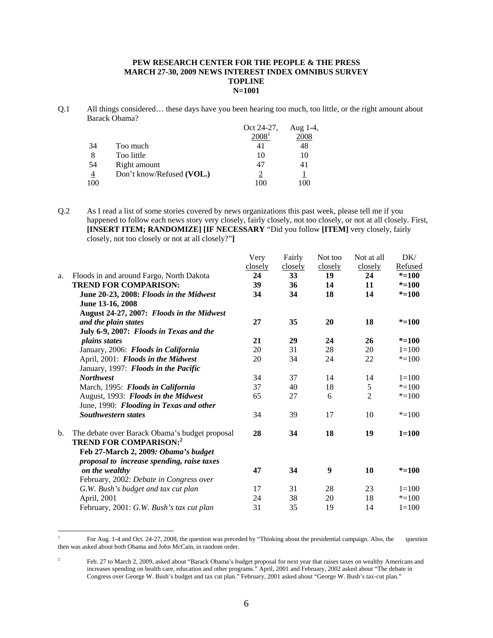#### **PEW RESEARCH CENTER FOR THE PEOPLE & THE PRESS MARCH 27-30, 2009 NEWS INTEREST INDEX OMNIBUS SURVEY TOPLINE N=1001**

Q.1 All things considered… these days have you been hearing too much, too little, or the right amount about Barack Obama?

|                |                           | Oct 24-27,        | Aug $1-4$ , |
|----------------|---------------------------|-------------------|-------------|
|                |                           | 2008 <sup>1</sup> | 2008        |
| 34             | Too much                  | 41                | 48          |
| 8              | Too little                | 10                | 10          |
| 54             | Right amount              | 47                | 41          |
| $\overline{4}$ | Don't know/Refused (VOL.) |                   |             |
| 100            |                           | 100               | 0C          |

Q.2 As I read a list of some stories covered by news organizations this past week, please tell me if you happened to follow each news story very closely, fairly closely, not too closely, or not at all closely. First, **[INSERT ITEM; RANDOMIZE] [IF NECESSARY** "Did you follow **[ITEM]** very closely, fairly closely, not too closely or not at all closely?"**]**

|    |                                                                                    | Very<br>closely | Fairly<br>closely | Not too<br>closely | Not at all<br>closely | DK/<br>Refused |
|----|------------------------------------------------------------------------------------|-----------------|-------------------|--------------------|-----------------------|----------------|
| a. | Floods in and around Fargo, North Dakota                                           | 24              | 33                | 19                 | 24                    | $* = 100$      |
|    | <b>TREND FOR COMPARISON:</b>                                                       | 39              | 36                | 14                 | 11                    | $* = 100$      |
|    | June 20-23, 2008: Floods in the Midwest                                            | 34              | 34                | 18                 | 14                    | $* = 100$      |
|    | June 13-16, 2008                                                                   |                 |                   |                    |                       |                |
|    | August 24-27, 2007: Floods in the Midwest                                          |                 |                   |                    |                       |                |
|    | and the plain states                                                               | 27              | 35                | 20                 | 18                    | $* = 100$      |
|    | July 6-9, 2007: Floods in Texas and the                                            |                 |                   |                    |                       |                |
|    | <i>plains states</i>                                                               | 21              | 29                | 24                 | 26                    | $* = 100$      |
|    | January, 2006: Floods in California                                                | 20              | 31                | 28                 | 20                    | $1 = 100$      |
|    | April, 2001: Floods in the Midwest                                                 | 20              | 34                | 24                 | 22                    | $* = 100$      |
|    | January, 1997: Floods in the Pacific                                               |                 |                   |                    |                       |                |
|    | <b>Northwest</b>                                                                   | 34              | 37                | 14                 | 14                    | $1 = 100$      |
|    | March, 1995: Floods in California                                                  | 37              | 40                | 18                 | 5                     | $* = 100$      |
|    | August, 1993: Floods in the Midwest                                                | 65              | 27                | 6                  | $\overline{2}$        | $* = 100$      |
|    | June, 1990: Flooding in Texas and other                                            |                 |                   |                    |                       |                |
|    | <b>Southwestern states</b>                                                         | 34              | 39                | 17                 | 10                    | $* = 100$      |
| b. | The debate over Barack Obama's budget proposal<br><b>TREND FOR COMPARISON:2</b>    | 28              | 34                | 18                 | 19                    | $1 = 100$      |
|    | Feb 27-March 2, 2009: Obama's budget<br>proposal to increase spending, raise taxes |                 |                   |                    |                       |                |
|    | on the wealthy                                                                     | 47              | 34                | 9                  | 10                    | $* = 100$      |
|    | February, 2002: Debate in Congress over                                            |                 |                   |                    |                       |                |
|    | G.W. Bush's budget and tax cut plan                                                | 17              | 31                | 28                 | 23                    | $1 = 100$      |
|    | April, 2001                                                                        | 24              | 38                | 20                 | 18                    | $* = 100$      |
|    | February, 2001: G.W. Bush's tax cut plan                                           | 31              | 35                | 19                 | 14                    | $1=100$        |

 $\frac{1}{1}$  For Aug. 1-4 and Oct. 24-27, 2008, the question was preceded by "Thinking about the presidential campaign. Also, the question then was asked about both Obama and John McCain, in random order.

<sup>2</sup> Feb. 27 to March 2, 2009, asked about "Barack Obama's budget proposal for next year that raises taxes on wealthy Americans and increases spending on health care, education and other programs." April, 2001 and February, 2002 asked about "The debate in Congress over George W. Bush's budget and tax cut plan." February, 2001 asked about "George W. Bush's tax-cut plan."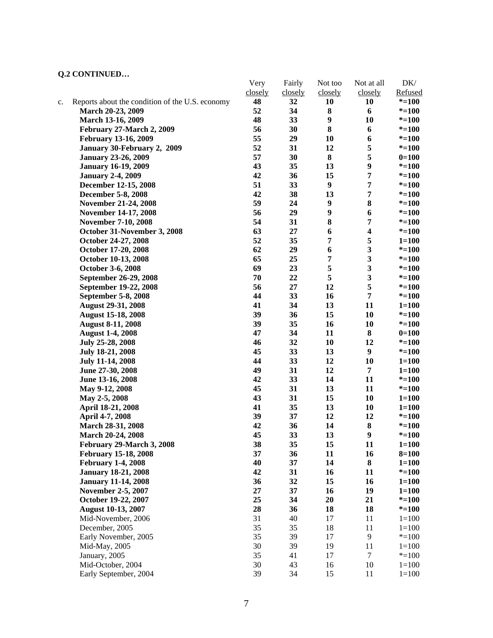# **Q.2 CONTINUED…**

|    |                                                 | Very    | Fairly  | Not too          | Not at all              | DK/                    |
|----|-------------------------------------------------|---------|---------|------------------|-------------------------|------------------------|
|    |                                                 | closely | closely | closely          | closely                 | Refused                |
| c. | Reports about the condition of the U.S. economy | 48      | 32      | 10               | 10                      | $* = 100$              |
|    | March 20-23, 2009                               | 52      | 34      | ${\bf 8}$        | 6                       | $* = 100$              |
|    | March 13-16, 2009                               | 48      | 33      | $\boldsymbol{9}$ | 10                      | $* = 100$              |
|    | February 27-March 2, 2009                       | 56      | 30      | $\bf 8$          | 6                       | $* = 100$              |
|    | <b>February 13-16, 2009</b>                     | 55      | 29      | 10               | 6                       | $* = 100$              |
|    | January 30-February 2, 2009                     | 52      | 31      | 12               | 5                       | $* = 100$              |
|    | <b>January 23-26, 2009</b>                      | 57      | 30      | ${\bf 8}$        | $\sqrt{5}$              | $0=100$                |
|    | <b>January 16-19, 2009</b>                      | 43      | 35      | 13               | $\boldsymbol{9}$        | $* = 100$              |
|    | <b>January 2-4, 2009</b>                        | 42      | 36      | 15               | $\overline{7}$          | $* = 100$              |
|    | December 12-15, 2008                            | 51      | 33      | $\boldsymbol{9}$ | $\overline{7}$          | $* = 100$              |
|    | <b>December 5-8, 2008</b>                       | 42      | 38      | 13               | 7                       | $* = 100$              |
|    | <b>November 21-24, 2008</b>                     | 59      | 24      | $\boldsymbol{9}$ | ${\bf 8}$               | $* = 100$              |
|    | November 14-17, 2008                            | 56      | 29      | $\boldsymbol{9}$ | 6                       | $* = 100$              |
|    | <b>November 7-10, 2008</b>                      | 54      | 31      | 8                | 7                       | $* = 100$              |
|    | October 31-November 3, 2008                     | 63      | 27      | 6                | $\boldsymbol{4}$        | $* = 100$              |
|    | October 24-27, 2008                             | 52      | 35      | 7                | 5                       | $1 = 100$              |
|    | October 17-20, 2008                             | 62      | 29      | 6                | $\overline{\mathbf{3}}$ | $* = 100$              |
|    | October 10-13, 2008                             | 65      | 25      | 7                | $\overline{\mathbf{3}}$ | $* = 100$              |
|    | October 3-6, 2008                               | 69      | 23      | 5                | $\overline{\mathbf{3}}$ | $* = 100$              |
|    | September 26-29, 2008                           | 70      | 22      | 5                | $\mathbf{3}$            | $* = 100$              |
|    | September 19-22, 2008                           | 56      | 27      | 12               | 5                       | $* = 100$              |
|    | September 5-8, 2008                             | 44      | 33      | 16               | 7                       | $* = 100$              |
|    | <b>August 29-31, 2008</b>                       | 41      | 34      | 13               | 11                      | $1 = 100$              |
|    | <b>August 15-18, 2008</b>                       | 39      | 36      | 15               | 10                      | $* = 100$              |
|    | <b>August 8-11, 2008</b>                        | 39      | 35      | 16               | 10                      | $* = 100$              |
|    | <b>August 1-4, 2008</b>                         | 47      | 34      | 11<br>10         | 8<br>12                 | $0=100$<br>$* = 100$   |
|    | July 25-28, 2008                                | 46      | 32      |                  |                         |                        |
|    |                                                 | 45      | 33      | 13               | $\boldsymbol{9}$        | $* = 100$              |
|    | <b>July 18-21, 2008</b>                         | 44      | 33      | 12               | 10                      | $1 = 100$              |
|    | <b>July 11-14, 2008</b>                         | 49      | 31      | 12               | $\overline{7}$          |                        |
|    | June 27-30, 2008                                | 42      | 33      | 14               | 11                      | $1 = 100$<br>$* = 100$ |
|    | June 13-16, 2008                                | 45      |         |                  |                         |                        |
|    | May 9-12, 2008                                  |         | 31      | 13               | 11                      | $* = 100$              |
|    | May 2-5, 2008                                   | 43      | 31      | 15               | 10                      | $1 = 100$              |
|    | April 18-21, 2008                               | 41      | 35      | 13               | 10                      | $1 = 100$              |
|    | April 4-7, 2008                                 | 39      | 37      | 12               | 12                      | $* = 100$              |
|    | March 28-31, 2008                               | 42      | 36      | 14               | ${\bf 8}$               | $* = 100$              |
|    | March 20-24, 2008                               | 45      | 33      | 13               | $\boldsymbol{9}$        | $* = 100$              |
|    | February 29-March 3, 2008                       | 38      | 35      | 15               | 11                      | $1 = 100$              |
|    | <b>February 15-18, 2008</b>                     | 37      | 36      | 11               | 16                      | $8 = 100$              |
|    | <b>February 1-4, 2008</b>                       | 40      | 37      | 14               | ${\bf 8}$               | $1 = 100$              |
|    | <b>January 18-21, 2008</b>                      | 42      | 31      | 16               | 11                      | $* = 100$              |
|    | <b>January 11-14, 2008</b>                      | 36      | 32      | 15               | 16                      | $1 = 100$              |
|    | <b>November 2-5, 2007</b>                       | 27      | 37      | 16               | 19                      | $1 = 100$              |
|    | October 19-22, 2007                             | 25      | 34      | 20               | 21                      | $* = 100$              |
|    | <b>August 10-13, 2007</b>                       | 28      | 36      | 18               | 18                      | $* = 100$              |
|    | Mid-November, 2006                              | 31      | 40      | 17               | 11                      | $1 = 100$              |
|    | December, 2005                                  | 35      | 35      | 18               | 11                      | $1 = 100$              |
|    | Early November, 2005                            | 35      | 39      | 17               | $\overline{9}$          | $* = 100$              |
|    | Mid-May, 2005                                   | 30      | 39      | 19               | 11                      | $1 = 100$              |
|    | January, 2005                                   | 35      | 41      | 17               | $\tau$                  | $* = 100$              |
|    | Mid-October, 2004                               | 30      | 43      | 16               | 10                      | $1 = 100$              |
|    | Early September, 2004                           | 39      | 34      | 15               | 11                      | $1 = 100$              |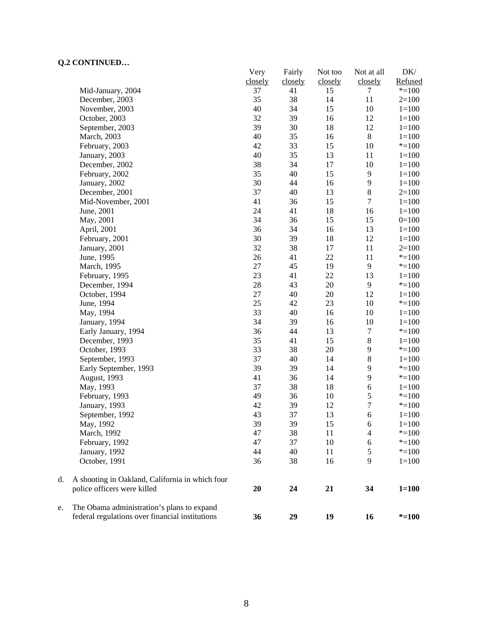## **Q.2 CONTINUED…**

|    | CONTROLLOW                                      | Very     | Fairly   | Not too  | Not at all       | DK/                    |
|----|-------------------------------------------------|----------|----------|----------|------------------|------------------------|
|    |                                                 | closely  | closely  | closely  | closely          | Refused                |
|    | Mid-January, 2004                               | 37       | 41       | 15       | 7                | $* = 100$              |
|    | December, 2003<br>November, 2003                | 35<br>40 | 38       | 14<br>15 | 11<br>10         | $2=100$                |
|    | October, 2003                                   | 32       | 34<br>39 | 16       | 12               | $1 = 100$              |
|    |                                                 | 39       | 30       | 18       | 12               | $1 = 100$<br>$1 = 100$ |
|    | September, 2003                                 | 40       | 35       | 16       | $8\,$            | $1 = 100$              |
|    | March, 2003<br>February, 2003                   | 42       | 33       | 15       | 10               | $* = 100$              |
|    |                                                 | 40       | 35       | 13       | 11               | $1 = 100$              |
|    | January, 2003<br>December, 2002                 | 38       | 34       | 17       | 10               | $1 = 100$              |
|    | February, 2002                                  | 35       | 40       | 15       | $\mathbf{9}$     | $1 = 100$              |
|    | January, 2002                                   | 30       | 44       | 16       | $\overline{9}$   | $1 = 100$              |
|    | December, 2001                                  | 37       | 40       | 13       | $\,8\,$          | $2=100$                |
|    | Mid-November, 2001                              | 41       | 36       | 15       | $\boldsymbol{7}$ | $1 = 100$              |
|    | June, 2001                                      | 24       | 41       | 18       | 16               | $1 = 100$              |
|    | May, 2001                                       | 34       | 36       | 15       | 15               | $0=100$                |
|    | April, 2001                                     | 36       | 34       | 16       | 13               | $1 = 100$              |
|    | February, 2001                                  | 30       | 39       | 18       | 12               | $1 = 100$              |
|    | January, 2001                                   | 32       | 38       | 17       | 11               | $2=100$                |
|    | June, 1995                                      | 26       | 41       | 22       | 11               | $* = 100$              |
|    | March, 1995                                     | $27\,$   | 45       | 19       | 9                | $* = 100$              |
|    | February, 1995                                  | 23       | 41       | 22       | 13               | $1 = 100$              |
|    | December, 1994                                  | $28\,$   | 43       | 20       | $\overline{9}$   | $* = 100$              |
|    | October, 1994                                   | 27       | 40       | 20       | 12               | $1 = 100$              |
|    | June, 1994                                      | 25       | 42       | 23       | 10               | $* = 100$              |
|    | May, 1994                                       | 33       | 40       | 16       | 10               | $1=100$                |
|    | January, 1994                                   | 34       | 39       | 16       | 10               | $1 = 100$              |
|    | Early January, 1994                             | 36       | 44       | 13       | $\tau$           | $* = 100$              |
|    | December, 1993                                  | 35       | 41       | 15       | $\bf 8$          | $1 = 100$              |
|    | October, 1993                                   | 33       | 38       | 20       | $\mathbf{9}$     | $* = 100$              |
|    | September, 1993                                 | 37       | 40       | 14       | $\,8\,$          | $1 = 100$              |
|    | Early September, 1993                           | 39       | 39       | 14       | $\overline{9}$   | $* = 100$              |
|    | August, 1993                                    | 41       | 36       | 14       | $\mathbf{9}$     | $* = 100$              |
|    | May, 1993                                       | 37       | 38       | 18       | 6                | $1 = 100$              |
|    | February, 1993                                  | 49       | 36       | 10       | $\sqrt{5}$       | $* = 100$              |
|    | January, 1993                                   | 42       | 39       | 12       | $\boldsymbol{7}$ | $* = 100$              |
|    | September, 1992                                 | 43       | 37       | 13       | 6                | $1 = 100$              |
|    | May, 1992                                       | 39       | 39       | 15       | 6                | $1 = 100$              |
|    | March, 1992                                     | 47       | 38       | 11       | 4                | $* = 100$              |
|    | February, 1992                                  | 47       | 37       | 10       | 6                | $* = 100$              |
|    | January, 1992                                   | 44       | 40       | 11       | $\sqrt{5}$       | $* = 100$              |
|    | October, 1991                                   | 36       | 38       | 16       | 9                | $1=100$                |
| d. | A shooting in Oakland, California in which four |          |          |          |                  |                        |
|    | police officers were killed                     | 20       | 24       | 21       | 34               | $1 = 100$              |
| e. | The Obama administration's plans to expand      |          |          |          |                  |                        |
|    | federal regulations over financial institutions | 36       | 29       | 19       | 16               | $* = 100$              |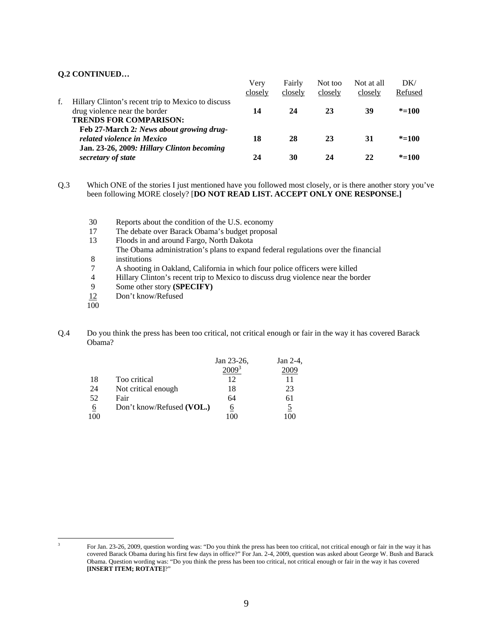### **Q.2 CONTINUED…**

|                                                                                                                      | Very    | Fairly  | Not too | Not at all | DK/       |
|----------------------------------------------------------------------------------------------------------------------|---------|---------|---------|------------|-----------|
|                                                                                                                      | closely | closely | closely | closely    | Refused   |
| Hillary Clinton's recent trip to Mexico to discuss<br>drug violence near the border<br><b>TRENDS FOR COMPARISON:</b> | 14      | 24      | 23      | 39         | $* = 100$ |
| Feb 27-March 2: News about growing drug-<br>related violence in Mexico<br>Jan. 23-26, 2009: Hillary Clinton becoming | 18      | 28      | 23      | 31         | $* = 100$ |
| secretary of state                                                                                                   | 24      | 30      | 24      | 22         | $* = 100$ |

Q.3 Which ONE of the stories I just mentioned have you followed most closely, or is there another story you've been following MORE closely? [**DO NOT READ LIST. ACCEPT ONLY ONE RESPONSE.]** 

- 30 Reports about the condition of the U.S. economy<br>17 The debate over Barack Obama's budget proposa
- The debate over Barack Obama's budget proposal
- 13 Floods in and around Fargo, North Dakota
- The Obama administration's plans to expand federal regulations over the financial 8 institutions
- 7 A shooting in Oakland, California in which four police officers were killed
- 4 Hillary Clinton's recent trip to Mexico to discuss drug violence near the border<br>9 Some other story (SPECIFY)
- Some other story **(SPECIFY)**
- 12 Don't know/Refused
- 100

 $\overline{a}$ 

Q.4 Do you think the press has been too critical, not critical enough or fair in the way it has covered Barack Obama?

|     |                           | Jan 23-26, | Jan 2-4, |
|-----|---------------------------|------------|----------|
|     |                           |            |          |
| 18  | Too critical              | 12         | 11       |
| 24  | Not critical enough       | 18         | 23       |
| 52  | Fair                      | 64         | 61       |
| 6   | Don't know/Refused (VOL.) | 6          |          |
| 100 |                           | ١OC        | 100      |

<sup>3</sup> For Jan. 23-26, 2009, question wording was: "Do you think the press has been too critical, not critical enough or fair in the way it has covered Barack Obama during his first few days in office?" For Jan. 2-4, 2009, question was asked about George W. Bush and Barack Obama. Question wording was: "Do you think the press has been too critical, not critical enough or fair in the way it has covered **[INSERT ITEM; ROTATE]**?"